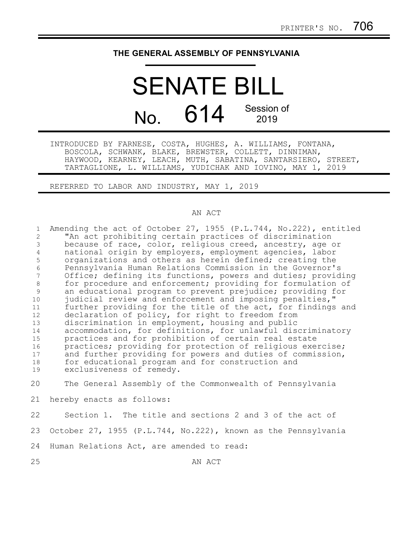## **THE GENERAL ASSEMBLY OF PENNSYLVANIA**

## SENATE BILL No. 614 Session of 2019

INTRODUCED BY FARNESE, COSTA, HUGHES, A. WILLIAMS, FONTANA, BOSCOLA, SCHWANK, BLAKE, BREWSTER, COLLETT, DINNIMAN, HAYWOOD, KEARNEY, LEACH, MUTH, SABATINA, SANTARSIERO, STREET, TARTAGLIONE, L. WILLIAMS, YUDICHAK AND IOVINO, MAY 1, 2019

REFERRED TO LABOR AND INDUSTRY, MAY 1, 2019

## AN ACT

| $\mathbf{1}$   | Amending the act of October 27, 1955 (P.L.744, No.222), entitled |
|----------------|------------------------------------------------------------------|
| $\overline{2}$ | "An act prohibiting certain practices of discrimination          |
| 3              | because of race, color, religious creed, ancestry, age or        |
| $\overline{4}$ | national origin by employers, employment agencies, labor         |
| 5              | organizations and others as herein defined; creating the         |
| $\sqrt{6}$     | Pennsylvania Human Relations Commission in the Governor's        |
| 7              | Office; defining its functions, powers and duties; providing     |
| 8              | for procedure and enforcement; providing for formulation of      |
| 9              | an educational program to prevent prejudice; providing for       |
| 10             | judicial review and enforcement and imposing penalties,"         |
| 11             | further providing for the title of the act, for findings and     |
| 12             | declaration of policy, for right to freedom from                 |
| 13             | discrimination in employment, housing and public                 |
| 14             | accommodation, for definitions, for unlawful discriminatory      |
| 15             | practices and for prohibition of certain real estate             |
| 16             | practices; providing for protection of religious exercise;       |
| 17             | and further providing for powers and duties of commission,       |
| 18             | for educational program and for construction and                 |
| 19             | exclusiveness of remedy.                                         |
| 20             | The General Assembly of the Commonwealth of Pennsylvania         |
| 21             | hereby enacts as follows:                                        |
|                |                                                                  |
| 22             | Section 1. The title and sections 2 and 3 of the act of          |
| 23             | October 27, 1955 (P.L.744, No.222), known as the Pennsylvania    |
| 24             | Human Relations Act, are amended to read:                        |
|                |                                                                  |

25

AN ACT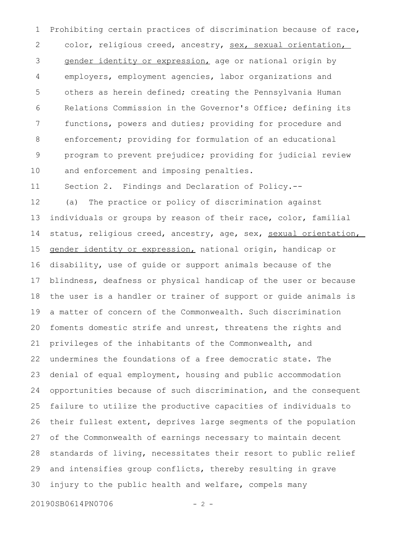Prohibiting certain practices of discrimination because of race, color, religious creed, ancestry, sex, sexual orientation, gender identity or expression, age or national origin by employers, employment agencies, labor organizations and others as herein defined; creating the Pennsylvania Human Relations Commission in the Governor's Office; defining its functions, powers and duties; providing for procedure and enforcement; providing for formulation of an educational program to prevent prejudice; providing for judicial review and enforcement and imposing penalties. 1 2 3 4 5 6 7 8 9 10

Section 2. Findings and Declaration of Policy.-- 11

(a) The practice or policy of discrimination against individuals or groups by reason of their race, color, familial status, religious creed, ancestry, age, sex, sexual orientation, gender identity or expression, national origin, handicap or disability, use of guide or support animals because of the blindness, deafness or physical handicap of the user or because the user is a handler or trainer of support or guide animals is a matter of concern of the Commonwealth. Such discrimination foments domestic strife and unrest, threatens the rights and privileges of the inhabitants of the Commonwealth, and undermines the foundations of a free democratic state. The denial of equal employment, housing and public accommodation opportunities because of such discrimination, and the consequent failure to utilize the productive capacities of individuals to their fullest extent, deprives large segments of the population of the Commonwealth of earnings necessary to maintain decent standards of living, necessitates their resort to public relief and intensifies group conflicts, thereby resulting in grave injury to the public health and welfare, compels many 12 13 14 15 16 17 18 19 20 21 22 23 24 25 26 27 28 29 30

20190SB0614PN0706 - 2 -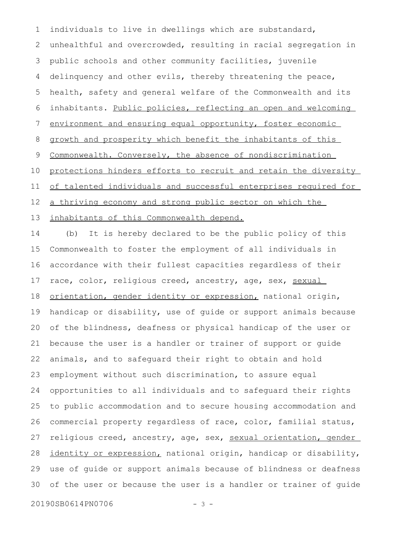individuals to live in dwellings which are substandard, unhealthful and overcrowded, resulting in racial segregation in public schools and other community facilities, juvenile delinquency and other evils, thereby threatening the peace, health, safety and general welfare of the Commonwealth and its inhabitants. Public policies, reflecting an open and welcoming environment and ensuring equal opportunity, foster economic growth and prosperity which benefit the inhabitants of this Commonwealth. Conversely, the absence of nondiscrimination protections hinders efforts to recruit and retain the diversity of talented individuals and successful enterprises required for a thriving economy and strong public sector on which the inhabitants of this Commonwealth depend. 1 2 3 4 5 6 7 8 9 10 11 12 13

(b) It is hereby declared to be the public policy of this Commonwealth to foster the employment of all individuals in accordance with their fullest capacities regardless of their race, color, religious creed, ancestry, age, sex, sexual orientation, gender identity or expression, national origin, handicap or disability, use of guide or support animals because of the blindness, deafness or physical handicap of the user or because the user is a handler or trainer of support or guide animals, and to safeguard their right to obtain and hold employment without such discrimination, to assure equal opportunities to all individuals and to safeguard their rights to public accommodation and to secure housing accommodation and commercial property regardless of race, color, familial status, religious creed, ancestry, age, sex, sexual orientation, gender identity or expression, national origin, handicap or disability, use of guide or support animals because of blindness or deafness of the user or because the user is a handler or trainer of guide 14 15 16 17 18 19 20 21 22 23 24 25 26 27 28 29 30

20190SB0614PN0706 - 3 -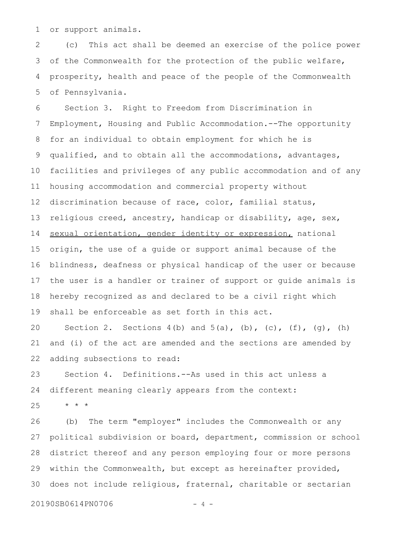or support animals. 1

(c) This act shall be deemed an exercise of the police power of the Commonwealth for the protection of the public welfare, prosperity, health and peace of the people of the Commonwealth of Pennsylvania. 2 3 4 5

Section 3. Right to Freedom from Discrimination in Employment, Housing and Public Accommodation.--The opportunity for an individual to obtain employment for which he is qualified, and to obtain all the accommodations, advantages, facilities and privileges of any public accommodation and of any housing accommodation and commercial property without discrimination because of race, color, familial status, religious creed, ancestry, handicap or disability, age, sex, sexual orientation, gender identity or expression, national origin, the use of a guide or support animal because of the blindness, deafness or physical handicap of the user or because the user is a handler or trainer of support or guide animals is hereby recognized as and declared to be a civil right which shall be enforceable as set forth in this act. 6 7 8 9 10 11 12 13 14 15 16 17 18 19

Section 2. Sections  $4(b)$  and  $5(a)$ ,  $(b)$ ,  $(c)$ ,  $(f)$ ,  $(q)$ ,  $(h)$ and (i) of the act are amended and the sections are amended by adding subsections to read: 20 21 22

Section 4. Definitions.--As used in this act unless a different meaning clearly appears from the context: 23 24

\* \* \* 25

(b) The term "employer" includes the Commonwealth or any political subdivision or board, department, commission or school district thereof and any person employing four or more persons within the Commonwealth, but except as hereinafter provided, does not include religious, fraternal, charitable or sectarian 26 27 28 29 30

20190SB0614PN0706 - 4 -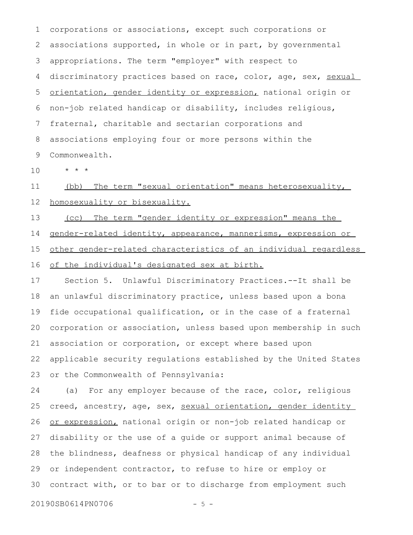corporations or associations, except such corporations or associations supported, in whole or in part, by governmental appropriations. The term "employer" with respect to discriminatory practices based on race, color, age, sex, sexual orientation, gender identity or expression, national origin or non-job related handicap or disability, includes religious, fraternal, charitable and sectarian corporations and associations employing four or more persons within the Commonwealth. 1 2 3 4 5 6 7 8 9

\* \* \* 10

(bb) The term "sexual orientation" means heterosexuality, homosexuality or bisexuality. 11 12

 (cc) The term "gender identity or expression" means the 13

gender-related identity, appearance, mannerisms, expression or 14

other gender-related characteristics of an individual regardless 15

of the individual's designated sex at birth. 16

Section 5. Unlawful Discriminatory Practices.--It shall be an unlawful discriminatory practice, unless based upon a bona fide occupational qualification, or in the case of a fraternal corporation or association, unless based upon membership in such association or corporation, or except where based upon applicable security regulations established by the United States or the Commonwealth of Pennsylvania: 17 18 19 20 21 22 23

(a) For any employer because of the race, color, religious creed, ancestry, age, sex, sexual orientation, gender identity or expression, national origin or non-job related handicap or disability or the use of a guide or support animal because of the blindness, deafness or physical handicap of any individual or independent contractor, to refuse to hire or employ or contract with, or to bar or to discharge from employment such 24 25 26 27 28 29 30

20190SB0614PN0706 - 5 -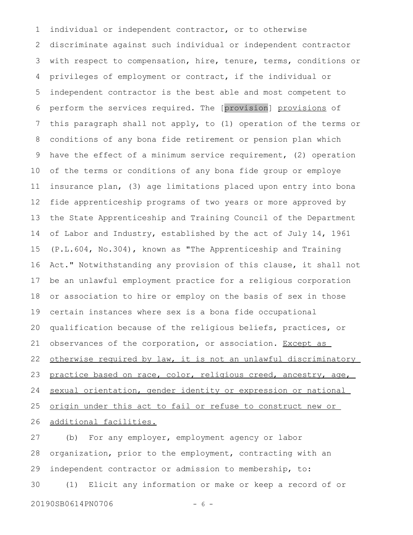individual or independent contractor, or to otherwise discriminate against such individual or independent contractor with respect to compensation, hire, tenure, terms, conditions or privileges of employment or contract, if the individual or independent contractor is the best able and most competent to perform the services required. The [provision] provisions of this paragraph shall not apply, to (1) operation of the terms or conditions of any bona fide retirement or pension plan which have the effect of a minimum service requirement, (2) operation of the terms or conditions of any bona fide group or employe insurance plan, (3) age limitations placed upon entry into bona fide apprenticeship programs of two years or more approved by the State Apprenticeship and Training Council of the Department of Labor and Industry, established by the act of July 14, 1961 (P.L.604, No.304), known as "The Apprenticeship and Training Act." Notwithstanding any provision of this clause, it shall not be an unlawful employment practice for a religious corporation or association to hire or employ on the basis of sex in those certain instances where sex is a bona fide occupational qualification because of the religious beliefs, practices, or observances of the corporation, or association. Except as otherwise required by law, it is not an unlawful discriminatory practice based on race, color, religious creed, ancestry, age, sexual orientation, gender identity or expression or national origin under this act to fail or refuse to construct new or additional facilities. 1 2 3 4 5 6 7 8 9 10 11 12 13 14 15 16 17 18 19 20 21 22 23 24 25 26

(b) For any employer, employment agency or labor organization, prior to the employment, contracting with an independent contractor or admission to membership, to: (1) Elicit any information or make or keep a record of or 20190SB0614PN0706 - 6 -27 28 29 30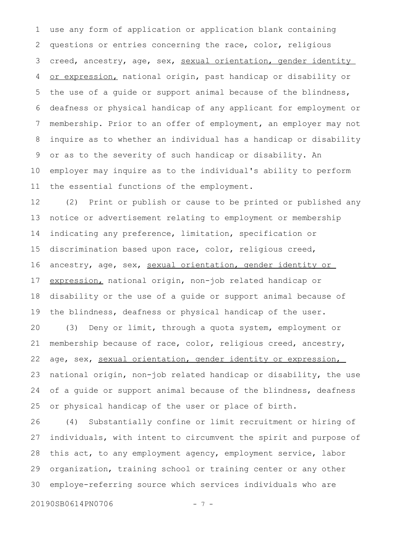use any form of application or application blank containing questions or entries concerning the race, color, religious creed, ancestry, age, sex, sexual orientation, gender identity or expression, national origin, past handicap or disability or the use of a guide or support animal because of the blindness, deafness or physical handicap of any applicant for employment or membership. Prior to an offer of employment, an employer may not inquire as to whether an individual has a handicap or disability or as to the severity of such handicap or disability. An employer may inquire as to the individual's ability to perform the essential functions of the employment. 1 2 3 4 5 6 7 8 9 10 11

(2) Print or publish or cause to be printed or published any notice or advertisement relating to employment or membership indicating any preference, limitation, specification or discrimination based upon race, color, religious creed, ancestry, age, sex, sexual orientation, gender identity or expression, national origin, non-job related handicap or disability or the use of a guide or support animal because of the blindness, deafness or physical handicap of the user. 12 13 14 15 16 17 18 19

(3) Deny or limit, through a quota system, employment or membership because of race, color, religious creed, ancestry, age, sex, sexual orientation, gender identity or expression, national origin, non-job related handicap or disability, the use of a guide or support animal because of the blindness, deafness or physical handicap of the user or place of birth. 20 21 22 23 24 25

(4) Substantially confine or limit recruitment or hiring of individuals, with intent to circumvent the spirit and purpose of this act, to any employment agency, employment service, labor organization, training school or training center or any other employe-referring source which services individuals who are 26 27 28 29 30

20190SB0614PN0706 - 7 -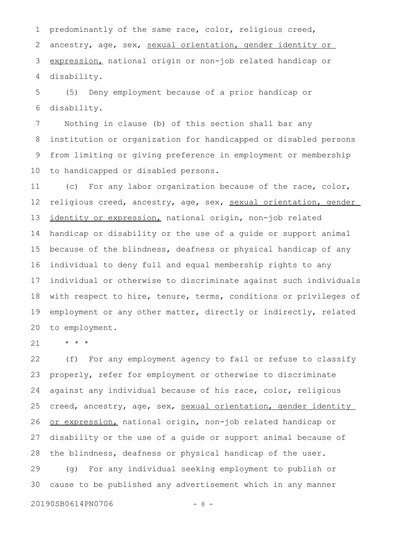predominantly of the same race, color, religious creed, ancestry, age, sex, sexual orientation, gender identity or expression, national origin or non-job related handicap or disability. 1 2 3 4

(5) Deny employment because of a prior handicap or disability. 5 6

Nothing in clause (b) of this section shall bar any institution or organization for handicapped or disabled persons from limiting or giving preference in employment or membership to handicapped or disabled persons. 7 8 9 10

(c) For any labor organization because of the race, color, religious creed, ancestry, age, sex, sexual orientation, gender identity or expression, national origin, non-job related handicap or disability or the use of a guide or support animal because of the blindness, deafness or physical handicap of any individual to deny full and equal membership rights to any individual or otherwise to discriminate against such individuals with respect to hire, tenure, terms, conditions or privileges of employment or any other matter, directly or indirectly, related to employment. 11 12 13 14 15 16 17 18 19 20

\* \* \* 21

(f) For any employment agency to fail or refuse to classify properly, refer for employment or otherwise to discriminate against any individual because of his race, color, religious creed, ancestry, age, sex, sexual orientation, gender identity or expression, national origin, non-job related handicap or disability or the use of a guide or support animal because of the blindness, deafness or physical handicap of the user. (g) For any individual seeking employment to publish or cause to be published any advertisement which in any manner 22 23 24 25 26 27 28 29 30

20190SB0614PN0706 - 8 -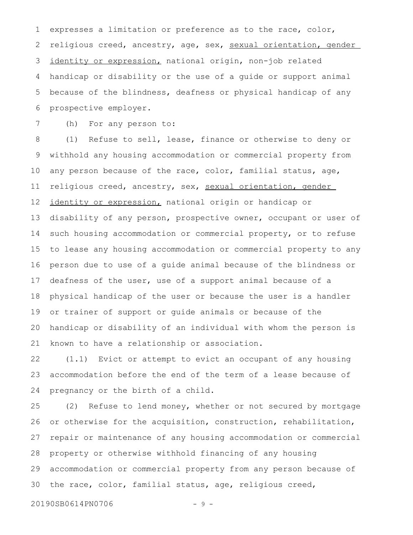expresses a limitation or preference as to the race, color, religious creed, ancestry, age, sex, sexual orientation, gender identity or expression, national origin, non-job related handicap or disability or the use of a guide or support animal because of the blindness, deafness or physical handicap of any prospective employer. 1 2 3 4 5 6

(h) For any person to: 7

(1) Refuse to sell, lease, finance or otherwise to deny or withhold any housing accommodation or commercial property from any person because of the race, color, familial status, age, religious creed, ancestry, sex, sexual orientation, gender identity or expression, national origin or handicap or disability of any person, prospective owner, occupant or user of such housing accommodation or commercial property, or to refuse to lease any housing accommodation or commercial property to any person due to use of a guide animal because of the blindness or deafness of the user, use of a support animal because of a physical handicap of the user or because the user is a handler or trainer of support or guide animals or because of the handicap or disability of an individual with whom the person is known to have a relationship or association. 8 9 10 11 12 13 14 15 16 17 18 19 20 21

(1.1) Evict or attempt to evict an occupant of any housing accommodation before the end of the term of a lease because of pregnancy or the birth of a child. 22 23 24

(2) Refuse to lend money, whether or not secured by mortgage or otherwise for the acquisition, construction, rehabilitation, repair or maintenance of any housing accommodation or commercial property or otherwise withhold financing of any housing accommodation or commercial property from any person because of the race, color, familial status, age, religious creed, 25 26 27 28 29 30

20190SB0614PN0706 - 9 -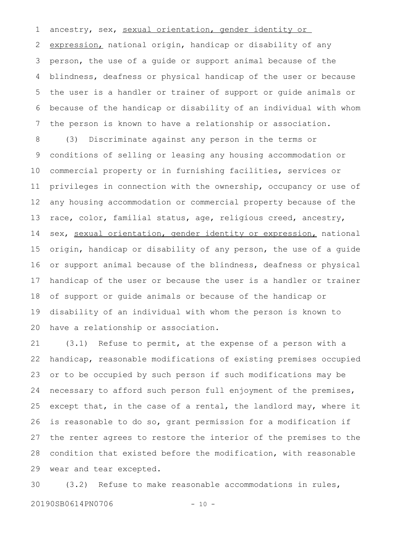ancestry, sex, sexual orientation, gender identity or expression, national origin, handicap or disability of any person, the use of a guide or support animal because of the blindness, deafness or physical handicap of the user or because the user is a handler or trainer of support or guide animals or because of the handicap or disability of an individual with whom the person is known to have a relationship or association. 1 2 3 4 5 6 7

(3) Discriminate against any person in the terms or conditions of selling or leasing any housing accommodation or commercial property or in furnishing facilities, services or privileges in connection with the ownership, occupancy or use of any housing accommodation or commercial property because of the race, color, familial status, age, religious creed, ancestry, sex, sexual orientation, gender identity or expression, national origin, handicap or disability of any person, the use of a guide or support animal because of the blindness, deafness or physical handicap of the user or because the user is a handler or trainer of support or guide animals or because of the handicap or disability of an individual with whom the person is known to have a relationship or association. 8 9 10 11 12 13 14 15 16 17 18 19 20

(3.1) Refuse to permit, at the expense of a person with a handicap, reasonable modifications of existing premises occupied or to be occupied by such person if such modifications may be necessary to afford such person full enjoyment of the premises, except that, in the case of a rental, the landlord may, where it is reasonable to do so, grant permission for a modification if the renter agrees to restore the interior of the premises to the condition that existed before the modification, with reasonable wear and tear excepted. 21 22 23 24 25 26 27 28 29

(3.2) Refuse to make reasonable accommodations in rules, 30

20190SB0614PN0706 - 10 -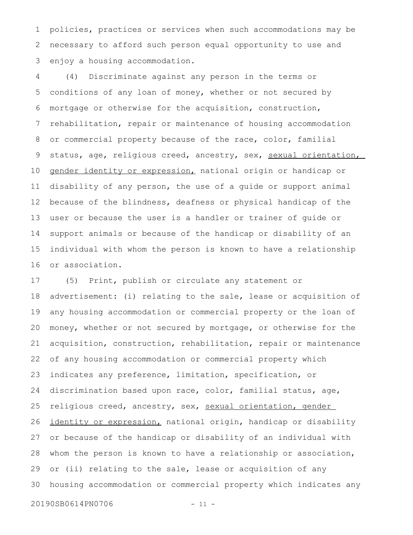policies, practices or services when such accommodations may be necessary to afford such person equal opportunity to use and enjoy a housing accommodation. 1 2 3

(4) Discriminate against any person in the terms or conditions of any loan of money, whether or not secured by mortgage or otherwise for the acquisition, construction, rehabilitation, repair or maintenance of housing accommodation or commercial property because of the race, color, familial status, age, religious creed, ancestry, sex, sexual orientation, gender identity or expression, national origin or handicap or disability of any person, the use of a guide or support animal because of the blindness, deafness or physical handicap of the user or because the user is a handler or trainer of guide or support animals or because of the handicap or disability of an individual with whom the person is known to have a relationship or association. 4 5 6 7 8 9 10 11 12 13 14 15 16

(5) Print, publish or circulate any statement or advertisement: (i) relating to the sale, lease or acquisition of any housing accommodation or commercial property or the loan of money, whether or not secured by mortgage, or otherwise for the acquisition, construction, rehabilitation, repair or maintenance of any housing accommodation or commercial property which indicates any preference, limitation, specification, or discrimination based upon race, color, familial status, age, religious creed, ancestry, sex, sexual orientation, gender identity or expression, national origin, handicap or disability or because of the handicap or disability of an individual with whom the person is known to have a relationship or association, or (ii) relating to the sale, lease or acquisition of any housing accommodation or commercial property which indicates any 17 18 19 20 21 22 23 24 25 26 27 28 29 30

20190SB0614PN0706 - 11 -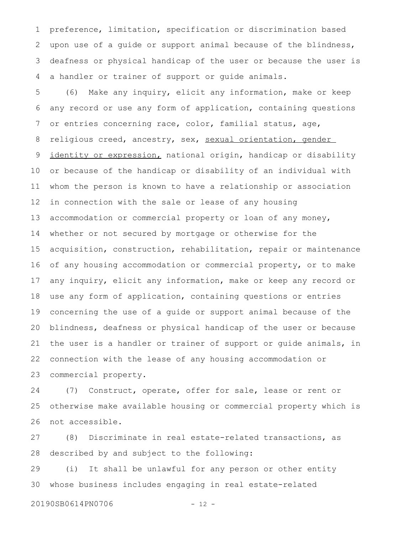preference, limitation, specification or discrimination based upon use of a guide or support animal because of the blindness, deafness or physical handicap of the user or because the user is a handler or trainer of support or guide animals. 1 2 3 4

(6) Make any inquiry, elicit any information, make or keep any record or use any form of application, containing questions or entries concerning race, color, familial status, age, religious creed, ancestry, sex, sexual orientation, gender identity or expression, national origin, handicap or disability or because of the handicap or disability of an individual with whom the person is known to have a relationship or association in connection with the sale or lease of any housing accommodation or commercial property or loan of any money, whether or not secured by mortgage or otherwise for the acquisition, construction, rehabilitation, repair or maintenance of any housing accommodation or commercial property, or to make any inquiry, elicit any information, make or keep any record or use any form of application, containing questions or entries concerning the use of a guide or support animal because of the blindness, deafness or physical handicap of the user or because the user is a handler or trainer of support or guide animals, in connection with the lease of any housing accommodation or commercial property. 5 6 7 8 9 10 11 12 13 14 15 16 17 18 19 20 21 22 23

(7) Construct, operate, offer for sale, lease or rent or otherwise make available housing or commercial property which is not accessible. 24 25 26

(8) Discriminate in real estate-related transactions, as described by and subject to the following: 27 28

(i) It shall be unlawful for any person or other entity whose business includes engaging in real estate-related 29 30

20190SB0614PN0706 - 12 -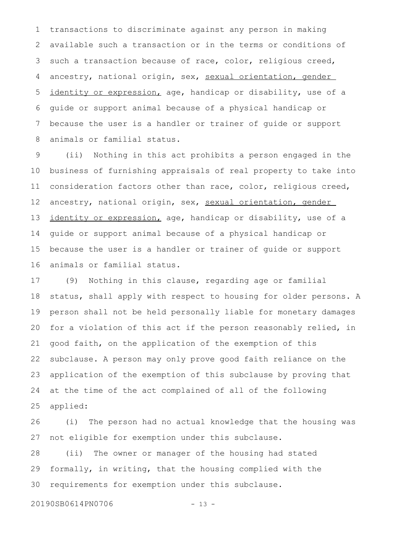transactions to discriminate against any person in making available such a transaction or in the terms or conditions of such a transaction because of race, color, religious creed, ancestry, national origin, sex, sexual orientation, gender identity or expression, age, handicap or disability, use of a guide or support animal because of a physical handicap or because the user is a handler or trainer of guide or support animals or familial status. 1 2 3 4 5 6 7 8

(ii) Nothing in this act prohibits a person engaged in the business of furnishing appraisals of real property to take into consideration factors other than race, color, religious creed, ancestry, national origin, sex, sexual orientation, gender identity or expression, age, handicap or disability, use of a guide or support animal because of a physical handicap or because the user is a handler or trainer of guide or support animals or familial status. 9 10 11 12 13 14 15 16

(9) Nothing in this clause, regarding age or familial status, shall apply with respect to housing for older persons. A person shall not be held personally liable for monetary damages for a violation of this act if the person reasonably relied, in good faith, on the application of the exemption of this subclause. A person may only prove good faith reliance on the application of the exemption of this subclause by proving that at the time of the act complained of all of the following applied: 17 18 19 20 21 22 23 24 25

(i) The person had no actual knowledge that the housing was not eligible for exemption under this subclause. 26 27

(ii) The owner or manager of the housing had stated formally, in writing, that the housing complied with the requirements for exemption under this subclause. 28 29 30

20190SB0614PN0706 - 13 -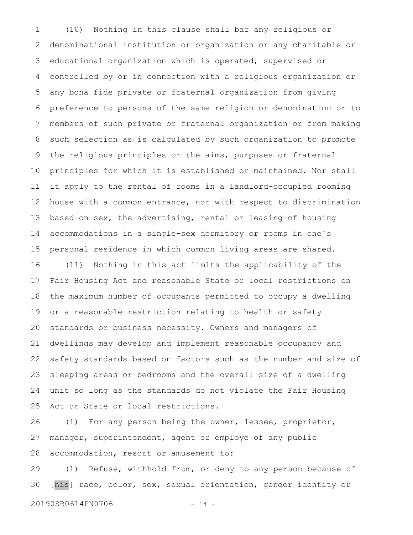(10) Nothing in this clause shall bar any religious or denominational institution or organization or any charitable or educational organization which is operated, supervised or controlled by or in connection with a religious organization or any bona fide private or fraternal organization from giving preference to persons of the same religion or denomination or to members of such private or fraternal organization or from making such selection as is calculated by such organization to promote the religious principles or the aims, purposes or fraternal principles for which it is established or maintained. Nor shall it apply to the rental of rooms in a landlord-occupied rooming house with a common entrance, nor with respect to discrimination based on sex, the advertising, rental or leasing of housing accommodations in a single-sex dormitory or rooms in one's personal residence in which common living areas are shared. (11) Nothing in this act limits the applicability of the Fair Housing Act and reasonable State or local restrictions on the maximum number of occupants permitted to occupy a dwelling or a reasonable restriction relating to health or safety standards or business necessity. Owners and managers of dwellings may develop and implement reasonable occupancy and safety standards based on factors such as the number and size of sleeping areas or bedrooms and the overall size of a dwelling unit so long as the standards do not violate the Fair Housing Act or State or local restrictions. 1 2 3 4 5 6 7 8 9 10 11 12 13 14 15 16 17 18 19 20 21 22 23 24 25

(i) For any person being the owner, lessee, proprietor, manager, superintendent, agent or employe of any public accommodation, resort or amusement to: 26 27 28

(1) Refuse, withhold from, or deny to any person because of [his] race, color, sex, sexual orientation, gender identity or 29 30

20190SB0614PN0706 - 14 -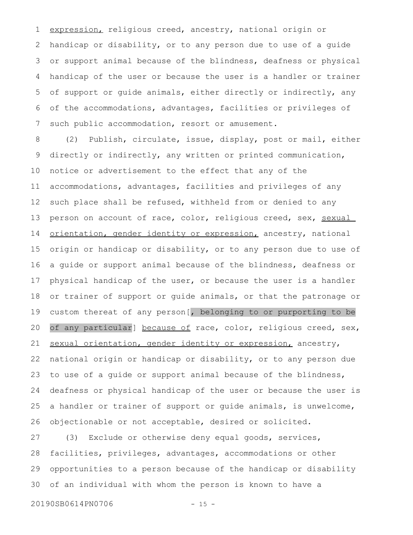expression, religious creed, ancestry, national origin or handicap or disability, or to any person due to use of a guide or support animal because of the blindness, deafness or physical handicap of the user or because the user is a handler or trainer of support or guide animals, either directly or indirectly, any of the accommodations, advantages, facilities or privileges of such public accommodation, resort or amusement. 1 2 3 4 5 6 7

(2) Publish, circulate, issue, display, post or mail, either directly or indirectly, any written or printed communication, notice or advertisement to the effect that any of the accommodations, advantages, facilities and privileges of any such place shall be refused, withheld from or denied to any person on account of race, color, religious creed, sex, sexual orientation, gender identity or expression, ancestry, national origin or handicap or disability, or to any person due to use of a guide or support animal because of the blindness, deafness or physical handicap of the user, or because the user is a handler or trainer of support or guide animals, or that the patronage or custom thereat of any person[, belonging to or purporting to be of any particular] because of race, color, religious creed, sex, sexual orientation, gender identity or expression, ancestry, national origin or handicap or disability, or to any person due to use of a guide or support animal because of the blindness, deafness or physical handicap of the user or because the user is a handler or trainer of support or guide animals, is unwelcome, objectionable or not acceptable, desired or solicited. 8 9 10 11 12 13 14 15 16 17 18 19 20 21 22 23 24 25 26

(3) Exclude or otherwise deny equal goods, services, facilities, privileges, advantages, accommodations or other opportunities to a person because of the handicap or disability of an individual with whom the person is known to have a 27 28 29 30

20190SB0614PN0706 - 15 -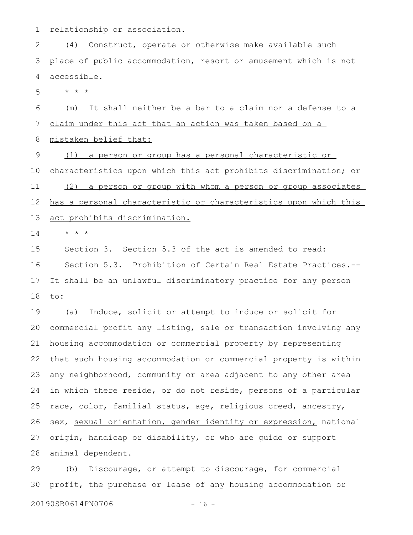relationship or association. 1

(4) Construct, operate or otherwise make available such place of public accommodation, resort or amusement which is not accessible. 2 3 4

\* \* \* 5

(m) It shall neither be a bar to a claim nor a defense to a claim under this act that an action was taken based on a mistaken belief that: 6 7 8

(1) a person or group has a personal characteristic or 9

characteristics upon which this act prohibits discrimination; or (2) a person or group with whom a person or group associates has a personal characteristic or characteristics upon which this act prohibits discrimination. 10 11 12 13

\* \* \* 14

Section 3. Section 5.3 of the act is amended to read: Section 5.3. Prohibition of Certain Real Estate Practices.-- It shall be an unlawful discriminatory practice for any person to: 15 16 17 18

(a) Induce, solicit or attempt to induce or solicit for commercial profit any listing, sale or transaction involving any housing accommodation or commercial property by representing that such housing accommodation or commercial property is within any neighborhood, community or area adjacent to any other area in which there reside, or do not reside, persons of a particular race, color, familial status, age, religious creed, ancestry, sex, sexual orientation, gender identity or expression, national origin, handicap or disability, or who are guide or support animal dependent. 19 20 21 22 23 24 25 26 27 28

(b) Discourage, or attempt to discourage, for commercial profit, the purchase or lease of any housing accommodation or 29 30

20190SB0614PN0706 - 16 -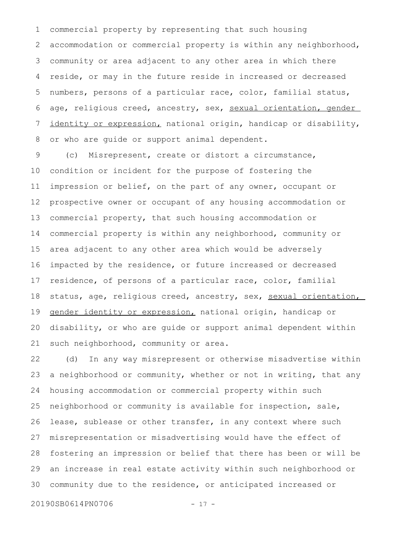commercial property by representing that such housing accommodation or commercial property is within any neighborhood, community or area adjacent to any other area in which there reside, or may in the future reside in increased or decreased numbers, persons of a particular race, color, familial status, age, religious creed, ancestry, sex, sexual orientation, gender identity or expression, national origin, handicap or disability, or who are guide or support animal dependent. 1 2 3 4 5 6 7 8

(c) Misrepresent, create or distort a circumstance, condition or incident for the purpose of fostering the impression or belief, on the part of any owner, occupant or prospective owner or occupant of any housing accommodation or commercial property, that such housing accommodation or commercial property is within any neighborhood, community or area adjacent to any other area which would be adversely impacted by the residence, or future increased or decreased residence, of persons of a particular race, color, familial status, age, religious creed, ancestry, sex, sexual orientation, gender identity or expression, national origin, handicap or disability, or who are guide or support animal dependent within such neighborhood, community or area. 9 10 11 12 13 14 15 16 17 18 19 20 21

(d) In any way misrepresent or otherwise misadvertise within a neighborhood or community, whether or not in writing, that any housing accommodation or commercial property within such neighborhood or community is available for inspection, sale, lease, sublease or other transfer, in any context where such misrepresentation or misadvertising would have the effect of fostering an impression or belief that there has been or will be an increase in real estate activity within such neighborhood or community due to the residence, or anticipated increased or 22 23 24 25 26 27 28 29 30

20190SB0614PN0706 - 17 -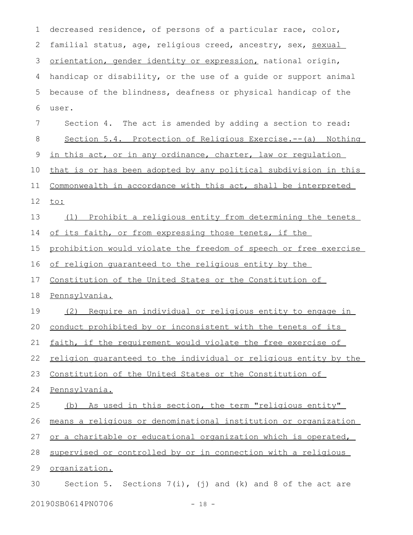decreased residence, of persons of a particular race, color, familial status, age, religious creed, ancestry, sex, sexual orientation, gender identity or expression, national origin, handicap or disability, or the use of a guide or support animal because of the blindness, deafness or physical handicap of the user. Section 4. The act is amended by adding a section to read: Section 5.4. Protection of Religious Exercise.--(a) Nothing in this act, or in any ordinance, charter, law or regulation that is or has been adopted by any political subdivision in this Commonwealth in accordance with this act, shall be interpreted to: (1) Prohibit a religious entity from determining the tenets of its faith, or from expressing those tenets, if the prohibition would violate the freedom of speech or free exercise of religion guaranteed to the religious entity by the Constitution of the United States or the Constitution of Pennsylvania. (2) Require an individual or religious entity to engage in conduct prohibited by or inconsistent with the tenets of its faith, if the requirement would violate the free exercise of religion guaranteed to the individual or religious entity by the Constitution of the United States or the Constitution of Pennsylvania. (b) As used in this section, the term "religious entity" means a religious or denominational institution or organization or a charitable or educational organization which is operated, supervised or controlled by or in connection with a religious organization. Section 5. Sections  $7(i)$ , (j) and (k) and 8 of the act are 1 2 3 4 5 6 7 8 9 10 11 12 13 14 15 16 17 18 19 20 21 22 23 24 25 26 27 28 29 30

20190SB0614PN0706 - 18 -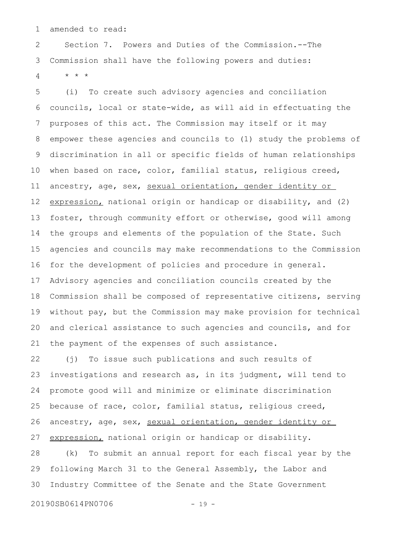amended to read: 1

Section 7. Powers and Duties of the Commission.--The Commission shall have the following powers and duties: \* \* \* 2 3 4

(i) To create such advisory agencies and conciliation councils, local or state-wide, as will aid in effectuating the purposes of this act. The Commission may itself or it may empower these agencies and councils to (1) study the problems of discrimination in all or specific fields of human relationships when based on race, color, familial status, religious creed, ancestry, age, sex, sexual orientation, gender identity or expression, national origin or handicap or disability, and (2) foster, through community effort or otherwise, good will among the groups and elements of the population of the State. Such agencies and councils may make recommendations to the Commission for the development of policies and procedure in general. Advisory agencies and conciliation councils created by the Commission shall be composed of representative citizens, serving without pay, but the Commission may make provision for technical and clerical assistance to such agencies and councils, and for the payment of the expenses of such assistance. 5 6 7 8 9 10 11 12 13 14 15 16 17 18 19 20 21

(j) To issue such publications and such results of investigations and research as, in its judgment, will tend to promote good will and minimize or eliminate discrimination because of race, color, familial status, religious creed, ancestry, age, sex, sexual orientation, gender identity or expression, national origin or handicap or disability. 22 23 24 25 26 27

(k) To submit an annual report for each fiscal year by the following March 31 to the General Assembly, the Labor and Industry Committee of the Senate and the State Government 28 29 30

20190SB0614PN0706 - 19 -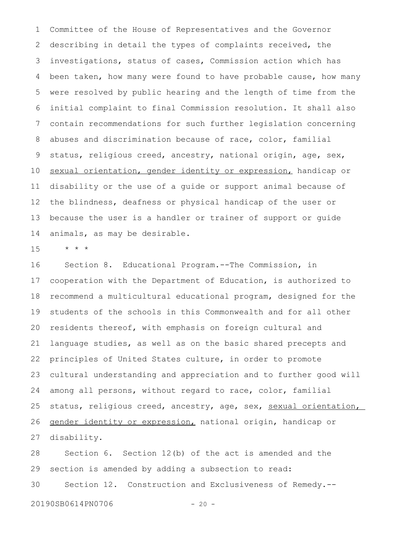Committee of the House of Representatives and the Governor describing in detail the types of complaints received, the investigations, status of cases, Commission action which has been taken, how many were found to have probable cause, how many were resolved by public hearing and the length of time from the initial complaint to final Commission resolution. It shall also contain recommendations for such further legislation concerning abuses and discrimination because of race, color, familial status, religious creed, ancestry, national origin, age, sex, sexual orientation, gender identity or expression, handicap or disability or the use of a guide or support animal because of the blindness, deafness or physical handicap of the user or because the user is a handler or trainer of support or guide animals, as may be desirable. 1 2 3 4 5 6 7 8 9 10 11 12 13 14

\* \* \* 15

Section 8. Educational Program.--The Commission, in cooperation with the Department of Education, is authorized to recommend a multicultural educational program, designed for the students of the schools in this Commonwealth and for all other residents thereof, with emphasis on foreign cultural and language studies, as well as on the basic shared precepts and principles of United States culture, in order to promote cultural understanding and appreciation and to further good will among all persons, without regard to race, color, familial status, religious creed, ancestry, age, sex, sexual orientation, gender identity or expression, national origin, handicap or disability. 16 17 18 19 20 21 22 23 24 25 26 27

Section 6. Section 12(b) of the act is amended and the section is amended by adding a subsection to read: Section 12. Construction and Exclusiveness of Remedy.-- 28 29 30

20190SB0614PN0706 - 20 -